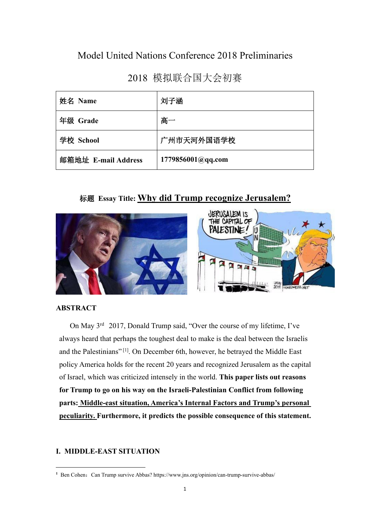# Model United Nations Conference 2018 Preliminaries

2018 模拟联合国大会初赛

| 姓名 Name             | 刘子涵               |  |
|---------------------|-------------------|--|
| 年级 Grade            | 高一                |  |
| 学校 School           | 广州市天河外国语学校        |  |
| 邮箱地址 E-mail Address | 1779856001@qq.com |  |

# 标题 **Essay Title: Why did Trump recognize Jerusalem?**



### **ABSTRACT**

On May 3<sup>rd</sup> 2017, Donald Trump said, "Over the course of my lifetime, I've always heard that perhaps the toughest deal to make is the deal between the Israelis and the Palestinians" [\[1](#page-0-0)]. On December 6th, however, he betrayed the Middle East policy America holds for the recent 20 years and recognized Jerusalem as the capital of Israel, which was criticized intensely in the world. **This paper lists out reasons for Trump togo on his way on the Israeli-Palestinian Conflict from following parts: Middle-east situation, America's Internal Factors and Trump's personal peculiarity. Furthermore, it predicts the possible consequence of this statement.**

# **I. MIDDLE-EAST SITUATION**

<span id="page-0-0"></span><sup>&</sup>lt;sup>1</sup> Ben Cohen: Can Trump survive Abbas? https://www.jns.org/opinion/can-trump-survive-abbas/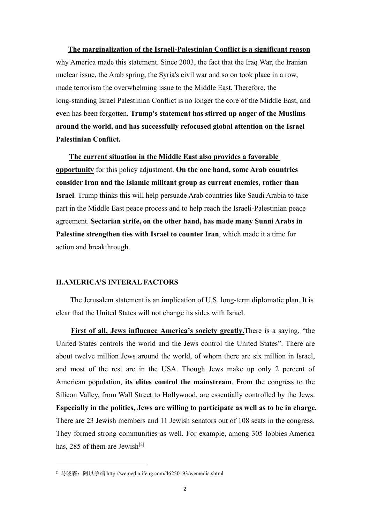**The marginalization of the Israeli-Palestinian Conflict is a significant reason** why America made this statement. Since 2003, the fact that the Iraq War, the Iranian nuclear issue, the Arab spring, the Syria's civil war and so on took place in a row, made terrorism the overwhelming issue to the Middle East. Therefore, the long-standing Israel Palestinian Conflict is no longer the core of the Middle East, and even has been forgotten. **Trump's statement has stirred up anger of the Muslims around the world, and has successfully refocused global attention on the Israel Palestinian Conflict.**

**The current situation in the Middle East also provides a favorable opportunity** for this policy adjustment. **On the one hand, some Arab countries consider Iran and the Islamic militant group as current enemies, rather than Israel**. Trump thinks this will help persuade Arab countries like Saudi Arabia to take part in the Middle East peace process and to help reach the Israeli-Palestinian peace agreement. **Sectarian strife, on the other hand, has made many Sunni Arabs in Palestine strengthen ties with Israel to counter Iran**, which made it a time for action and breakthrough.

## **II.AMERICA'S INTERAL FACTORS**

The Jerusalem statement is an implication of U.S. long-term diplomatic plan. It is clear that the United States will not change its sides with Israel.

**First of all, Jews influence America's society greatly. There is a saying, "the** United States controls the world and the Jews control the United States". There are about twelve million Jews around the world, of whom there are six million in Israel, and most of the rest are in the USA. Though Jews make up only 2 percent of American population, **its elites control the mainstream**. From the congress to the Silicon Valley, from Wall Street to Hollywood, are essentially controlled by the Jews. **Especially in the politics, Jews are willing to participate as wellas to be in charge.** There are 23 Jewish members and 11 Jewish senators out of 108 seats in the congress. They formed strong communities as well. For example, among 305 lobbies America has, 285 of them are Jewish<sup>[[2\]](#page-1-0)</sup> .

<span id="page-1-0"></span>**<sup>2</sup>** 马晓霖:阿以争端 http://wemedia.ifeng.com/46250193/wemedia.shtml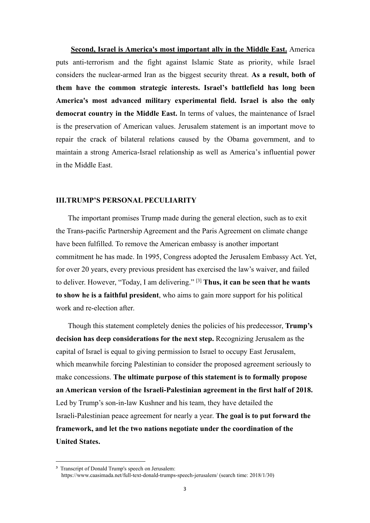**Second, Israel is America's most important ally in the Middle East.** America puts anti-terrorism and the fight against Islamic State as priority, while Israel considers the nuclear-armed Iran as the biggest security threat. **As a result, both of them have the common strategic interests. Israel's battlefield has long been America's most advanced military experimental field. Israel is also the only democrat country in the Middle East.** In terms of values, the maintenance of Israel is the preservation of American values. Jerusalem statement is an important move to repair the crack of bilateral relations caused by the Obama government, and to maintain a strong America-Israel relationship as well as America's influential power in the Middle East.

# **III.TRUMP'S PERSONAL PECULIARITY**

The important promises Trump made during the general election, such as to exit the Trans-pacific Partnership Agreement and the Paris Agreement on climate change have been fulfilled. To remove the American embassy is another important commitment he has made. In 1995, Congress adopted the Jerusalem Embassy Act. Yet, for over 20 years, every previous president has exercised the law's waiver, and failed to deliver. However, "Today, I am delivering." [\[3\]](#page-2-0) **Thus, it can be seen that he wants to show he is a faithful president**, who aims to gain more support for his political work and re-election after.

Though this statement completely denies the policies ofhis predecessor, **Trump's decision has deep considerations for the nextstep.** Recognizing Jerusalem as the capital of Israel is equal to giving permission to Israel to occupy East Jerusalem, which meanwhile forcing Palestinian to consider the proposed agreement seriously to make concessions. **The ultimate purpose of this statement is to formally propose an American version of the Israeli-Palestinian agreement in the first half of 2018.** Led by Trump's son-in-law Kushner and his team, they have detailed the Israeli-Palestinian peace agreement for nearly a year. **The goal is to put forward the framework, and let the two nations negotiate under the coordination of the United States.**

<span id="page-2-0"></span>**<sup>3</sup>** Transcript of Donald Trump's speech on Jerusalem: https://www.caasimada.net/full-text-donald-trumps-speech-jerusalem/ (search time: 2018/1/30)